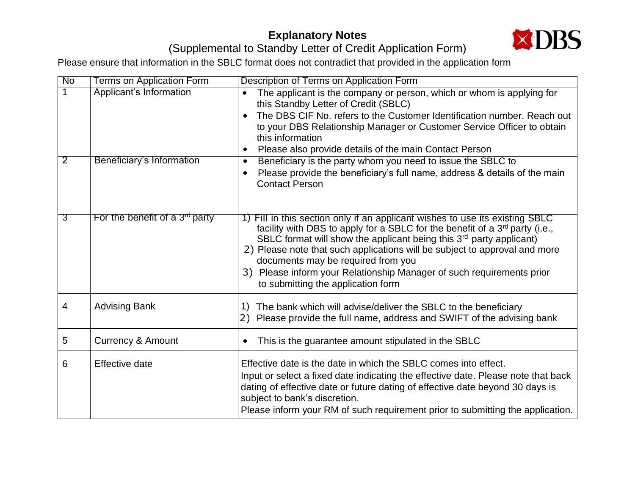## **Explanatory Notes**



## (Supplemental to Standby Letter of Credit Application Form)

Please ensure that information in the SBLC format does not contradict that provided in the application form

| $\overline{N_{0}}$ | <b>Terms on Application Form</b> | Description of Terms on Application Form                                                                                                                                                                                                                                                                                                                                                                                                                                                      |
|--------------------|----------------------------------|-----------------------------------------------------------------------------------------------------------------------------------------------------------------------------------------------------------------------------------------------------------------------------------------------------------------------------------------------------------------------------------------------------------------------------------------------------------------------------------------------|
| $\overline{1}$     | <b>Applicant's Information</b>   | The applicant is the company or person, which or whom is applying for<br>this Standby Letter of Credit (SBLC)<br>The DBS CIF No. refers to the Customer Identification number. Reach out<br>to your DBS Relationship Manager or Customer Service Officer to obtain<br>this information<br>Please also provide details of the main Contact Person                                                                                                                                              |
| $\overline{2}$     | Beneficiary's Information        | Beneficiary is the party whom you need to issue the SBLC to<br>$\bullet$<br>Please provide the beneficiary's full name, address & details of the main<br><b>Contact Person</b>                                                                                                                                                                                                                                                                                                                |
| उ                  | For the benefit of a $3rd$ party | 1) Fill in this section only if an applicant wishes to use its existing SBLC<br>facility with DBS to apply for a SBLC for the benefit of a 3 <sup>rd</sup> party (i.e.,<br>SBLC format will show the applicant being this 3 <sup>rd</sup> party applicant)<br>2) Please note that such applications will be subject to approval and more<br>documents may be required from you<br>3) Please inform your Relationship Manager of such requirements prior<br>to submitting the application form |
| $\overline{4}$     | <b>Advising Bank</b>             | The bank which will advise/deliver the SBLC to the beneficiary<br>1)<br>2) Please provide the full name, address and SWIFT of the advising bank                                                                                                                                                                                                                                                                                                                                               |
| 5                  | <b>Currency &amp; Amount</b>     | This is the guarantee amount stipulated in the SBLC<br>$\bullet$                                                                                                                                                                                                                                                                                                                                                                                                                              |
| 6                  | Effective date                   | Effective date is the date in which the SBLC comes into effect.<br>Input or select a fixed date indicating the effective date. Please note that back<br>dating of effective date or future dating of effective date beyond 30 days is<br>subject to bank's discretion.<br>Please inform your RM of such requirement prior to submitting the application.                                                                                                                                      |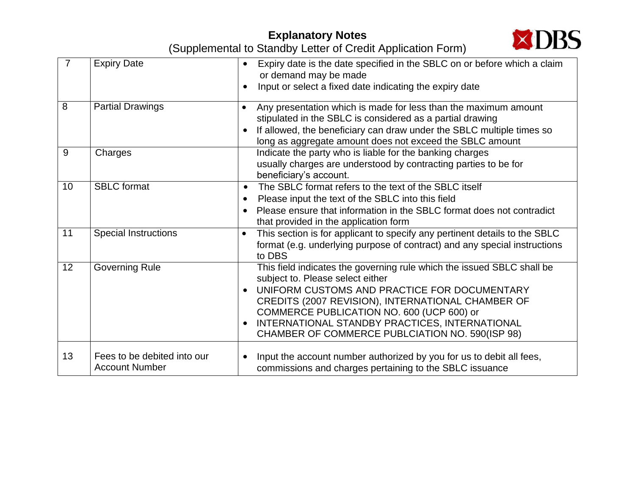## **Explanatory Notes**



(Supplemental to Standby Letter of Credit Application Form)

| $\overline{7}$ | <b>Expiry Date</b>                                   | Expiry date is the date specified in the SBLC on or before which a claim<br>or demand may be made<br>Input or select a fixed date indicating the expiry date                                                                                                                                                                                                      |
|----------------|------------------------------------------------------|-------------------------------------------------------------------------------------------------------------------------------------------------------------------------------------------------------------------------------------------------------------------------------------------------------------------------------------------------------------------|
| 8              | <b>Partial Drawings</b>                              | Any presentation which is made for less than the maximum amount<br>$\bullet$<br>stipulated in the SBLC is considered as a partial drawing<br>If allowed, the beneficiary can draw under the SBLC multiple times so<br>long as aggregate amount does not exceed the SBLC amount                                                                                    |
| 9              | Charges                                              | Indicate the party who is liable for the banking charges<br>usually charges are understood by contracting parties to be for<br>beneficiary's account.                                                                                                                                                                                                             |
| 10             | <b>SBLC</b> format                                   | The SBLC format refers to the text of the SBLC itself<br>$\bullet$<br>Please input the text of the SBLC into this field<br>$\bullet$<br>Please ensure that information in the SBLC format does not contradict<br>that provided in the application form                                                                                                            |
| 11             | <b>Special Instructions</b>                          | This section is for applicant to specify any pertinent details to the SBLC<br>$\bullet$<br>format (e.g. underlying purpose of contract) and any special instructions<br>to DBS                                                                                                                                                                                    |
| 12             | <b>Governing Rule</b>                                | This field indicates the governing rule which the issued SBLC shall be<br>subject to. Please select either<br>UNIFORM CUSTOMS AND PRACTICE FOR DOCUMENTARY<br>CREDITS (2007 REVISION), INTERNATIONAL CHAMBER OF<br>COMMERCE PUBLICATION NO. 600 (UCP 600) or<br>INTERNATIONAL STANDBY PRACTICES, INTERNATIONAL<br>CHAMBER OF COMMERCE PUBLCIATION NO. 590(ISP 98) |
| 13             | Fees to be debited into our<br><b>Account Number</b> | Input the account number authorized by you for us to debit all fees,<br>$\bullet$<br>commissions and charges pertaining to the SBLC issuance                                                                                                                                                                                                                      |